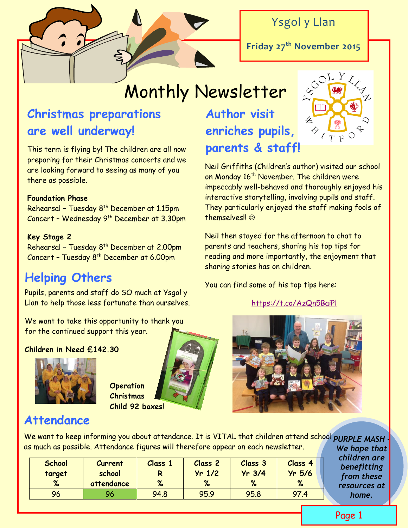

Ysgol y Llan

**Friday 27th November 2015**

# Monthly Newsletter

### **Christmas preparations are well underway!**

This term is flying by! The children are all now preparing for their Christmas concerts and we are looking forward to seeing as many of you there as possible.

#### **Foundation Phase**

Rehearsal – Tuesday 8 th December at 1.15pm Concert – Wednesday 9<sup>th</sup> December at 3.30pm

#### **Key Stage 2**

Rehearsal – Tuesday 8<sup>th</sup> December at 2.00pm Concert – Tuesday 8 th December at 6.00pm

### **Helping Others**

Pupils, parents and staff do SO much at Ysgol y Llan to help those less fortunate than ourselves.

We want to take this opportunity to thank you for the continued support this year.

**Children in Need £142.30** 



**Operation Christmas Child 92 boxes!**

## **Author visit enriches pupils, parents & staff!**



Neil Griffiths (Children's author) visited our school on Monday 16<sup>th</sup> November. The children were impeccably well-behaved and thoroughly enjoyed his interactive storytelling, involving pupils and staff. They particularly enjoyed the staff making fools of themselves!! ©

Neil then stayed for the afternoon to chat to parents and teachers, sharing his top tips for reading and more importantly, the enjoyment that sharing stories has on children.

You can find some of his top tips here:

<https://t.co/AzQn5BaiPl>



### **Attendance**

*PURPLE MASH -* We want to keep informing you about attendance. It is VITAL that children attend school as much as possible. Attendance figures will therefore appear on each newsletter.

| <b>School</b><br>target<br>% | <b>Current</b><br>school<br>attendance | Class 1<br>R<br>% | Class 2<br>$Yr$ 1/2<br>% | Class 3<br>$Yr$ 3/4<br>% | <b>Class 4</b><br>$Yr$ 5/6<br>% |
|------------------------------|----------------------------------------|-------------------|--------------------------|--------------------------|---------------------------------|
|                              |                                        |                   |                          |                          |                                 |
| 96                           | 96                                     | 94.8              | 95.9                     | 95.8                     | 97.4                            |

*We hope that children are benefitting from these resources at home.* 

Page 1